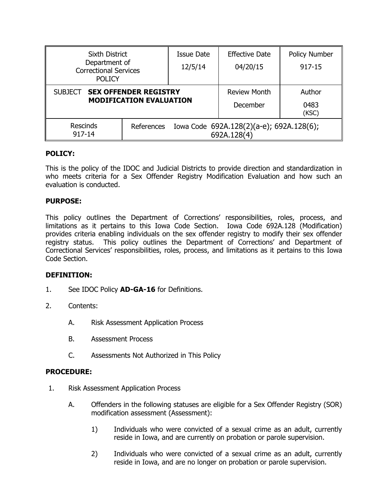| <b>Sixth District</b>                                                            |  | <b>Issue Date</b>                                       | <b>Effective Date</b> | <b>Policy Number</b> |
|----------------------------------------------------------------------------------|--|---------------------------------------------------------|-----------------------|----------------------|
| Department of<br><b>Correctional Services</b><br><b>POLICY</b>                   |  | 12/5/14                                                 | 04/20/15              | 917-15               |
|                                                                                  |  |                                                         |                       |                      |
| <b>SEX OFFENDER REGISTRY</b><br><b>SUBJECT</b><br><b>MODIFICATION EVALUATION</b> |  |                                                         | <b>Review Month</b>   | Author               |
|                                                                                  |  |                                                         | December              | 0483<br>(KSC)        |
| <b>Rescinds</b><br>References<br>917-14                                          |  | Iowa Code 692A.128(2)(a-e); 692A.128(6);<br>692A.128(4) |                       |                      |

# **POLICY:**

This is the policy of the IDOC and Judicial Districts to provide direction and standardization in who meets criteria for a Sex Offender Registry Modification Evaluation and how such an evaluation is conducted.

## **PURPOSE:**

This policy outlines the Department of Corrections' responsibilities, roles, process, and limitations as it pertains to this Iowa Code Section. Iowa Code 692A.128 (Modification) provides criteria enabling individuals on the sex offender registry to modify their sex offender registry status. This policy outlines the Department of Corrections' and Department of Correctional Services' responsibilities, roles, process, and limitations as it pertains to this Iowa Code Section.

## **DEFINITION:**

- 1. See IDOC Policy **AD-GA-16** for Definitions.
- 2. Contents:
	- A. Risk Assessment Application Process
	- B. Assessment Process
	- C. Assessments Not Authorized in This Policy

## **PROCEDURE:**

- 1. Risk Assessment Application Process
	- A. Offenders in the following statuses are eligible for a Sex Offender Registry (SOR) modification assessment (Assessment):
		- 1) Individuals who were convicted of a sexual crime as an adult, currently reside in Iowa, and are currently on probation or parole supervision.
		- 2) Individuals who were convicted of a sexual crime as an adult, currently reside in Iowa, and are no longer on probation or parole supervision.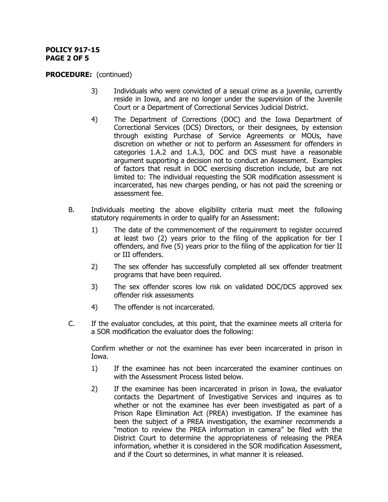## **POLICY 917-15 PAGE 2 OF 5**

#### **PROCEDURE:** (continued)

- 3) Individuals who were convicted of a sexual crime as a juvenile, currently reside in Iowa, and are no longer under the supervision of the Juvenile Court or a Department of Correctional Services Judicial District.
- 4) The Department of Corrections (DOC) and the Iowa Department of Correctional Services (DCS) Directors, or their designees, by extension through existing Purchase of Service Agreements or MOUs, have discretion on whether or not to perform an Assessment for offenders in categories 1.A.2 and 1.A.3, DOC and DCS must have a reasonable argument supporting a decision not to conduct an Assessment. Examples of factors that result in DOC exercising discretion include, but are not limited to: The individual requesting the SOR modification assessment is incarcerated, has new charges pending, or has not paid the screening or assessment fee.
- B. Individuals meeting the above eligibility criteria must meet the following statutory requirements in order to qualify for an Assessment:
	- 1) The date of the commencement of the requirement to register occurred at least two (2) years prior to the filing of the application for tier I offenders, and five (5) years prior to the filing of the application for tier II or III offenders.
	- 2) The sex offender has successfully completed all sex offender treatment programs that have been required.
	- 3) The sex offender scores low risk on validated DOC/DCS approved sex offender risk assessments
	- 4) The offender is not incarcerated.
- C. If the evaluator concludes, at this point, that the examinee meets all criteria for a SOR modification the evaluator does the following:

Confirm whether or not the examinee has ever been incarcerated in prison in Iowa.

- 1) If the examinee has not been incarcerated the examiner continues on with the Assessment Process listed below.
- 2) If the examinee has been incarcerated in prison in Iowa, the evaluator contacts the Department of Investigative Services and inquires as to whether or not the examinee has ever been investigated as part of a Prison Rape Elimination Act (PREA) investigation. If the examinee has been the subject of a PREA investigation, the examiner recommends a "motion to review the PREA information in camera" be filed with the District Court to determine the appropriateness of releasing the PREA information, whether it is considered in the SOR modification Assessment, and if the Court so determines, in what manner it is released.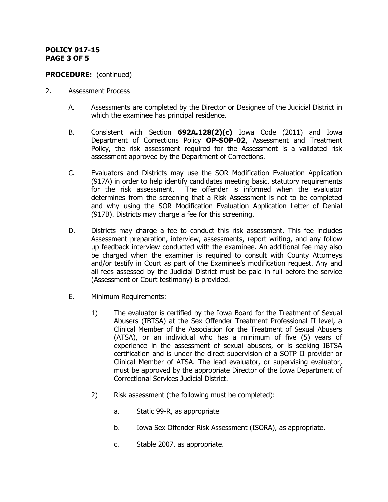# **POLICY 917-15 PAGE 3 OF 5**

# **PROCEDURE:** (continued)

- 2. Assessment Process
	- A. Assessments are completed by the Director or Designee of the Judicial District in which the examinee has principal residence.
	- B. Consistent with Section **692A.128(2)(c)** Iowa Code (2011) and Iowa Department of Corrections Policy **OP-SOP-02**, Assessment and Treatment Policy, the risk assessment required for the Assessment is a validated risk assessment approved by the Department of Corrections.
	- C. Evaluators and Districts may use the SOR Modification Evaluation Application (917A) in order to help identify candidates meeting basic, statutory requirements for the risk assessment. The offender is informed when the evaluator determines from the screening that a Risk Assessment is not to be completed and why using the SOR Modification Evaluation Application Letter of Denial (917B). Districts may charge a fee for this screening.
	- D. Districts may charge a fee to conduct this risk assessment. This fee includes Assessment preparation, interview, assessments, report writing, and any follow up feedback interview conducted with the examinee. An additional fee may also be charged when the examiner is required to consult with County Attorneys and/or testify in Court as part of the Examinee's modification request. Any and all fees assessed by the Judicial District must be paid in full before the service (Assessment or Court testimony) is provided.
	- E. Minimum Requirements:
		- 1) The evaluator is certified by the Iowa Board for the Treatment of Sexual Abusers (IBTSA) at the Sex Offender Treatment Professional II level, a Clinical Member of the Association for the Treatment of Sexual Abusers (ATSA), or an individual who has a minimum of five (5) years of experience in the assessment of sexual abusers, or is seeking IBTSA certification and is under the direct supervision of a SOTP II provider or Clinical Member of ATSA. The lead evaluator, or supervising evaluator, must be approved by the appropriate Director of the Iowa Department of Correctional Services Judicial District.
		- 2) Risk assessment (the following must be completed):
			- a. Static 99-R, as appropriate
			- b. Iowa Sex Offender Risk Assessment (ISORA), as appropriate.
			- c. Stable 2007, as appropriate.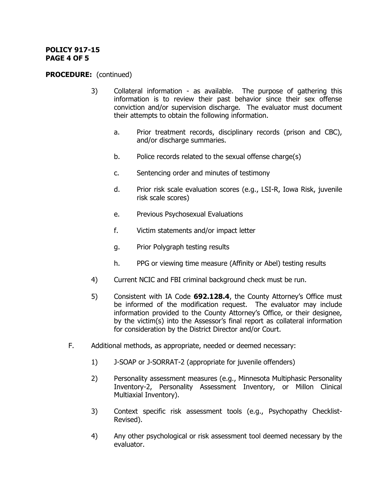#### **POLICY 917-15 PAGE 4 OF 5**

## **PROCEDURE:** (continued)

- 3) Collateral information as available. The purpose of gathering this information is to review their past behavior since their sex offense conviction and/or supervision discharge. The evaluator must document their attempts to obtain the following information.
	- a. Prior treatment records, disciplinary records (prison and CBC), and/or discharge summaries.
	- b. Police records related to the sexual offense charge(s)
	- c. Sentencing order and minutes of testimony
	- d. Prior risk scale evaluation scores (e.g., LSI-R, Iowa Risk, juvenile risk scale scores)
	- e. Previous Psychosexual Evaluations
	- f. Victim statements and/or impact letter
	- g. Prior Polygraph testing results
	- h. PPG or viewing time measure (Affinity or Abel) testing results
- 4) Current NCIC and FBI criminal background check must be run.
- 5) Consistent with IA Code **692.128.4**, the County Attorney's Office must be informed of the modification request. The evaluator may include information provided to the County Attorney's Office, or their designee, by the victim(s) into the Assessor's final report as collateral information for consideration by the District Director and/or Court.
- F. Additional methods, as appropriate, needed or deemed necessary:
	- 1) J-SOAP or J-SORRAT-2 (appropriate for juvenile offenders)
	- 2) Personality assessment measures (e.g., Minnesota Multiphasic Personality Inventory-2, Personality Assessment Inventory, or Millon Clinical Multiaxial Inventory).
	- 3) Context specific risk assessment tools (e.g., Psychopathy Checklist-Revised).
	- 4) Any other psychological or risk assessment tool deemed necessary by the evaluator.